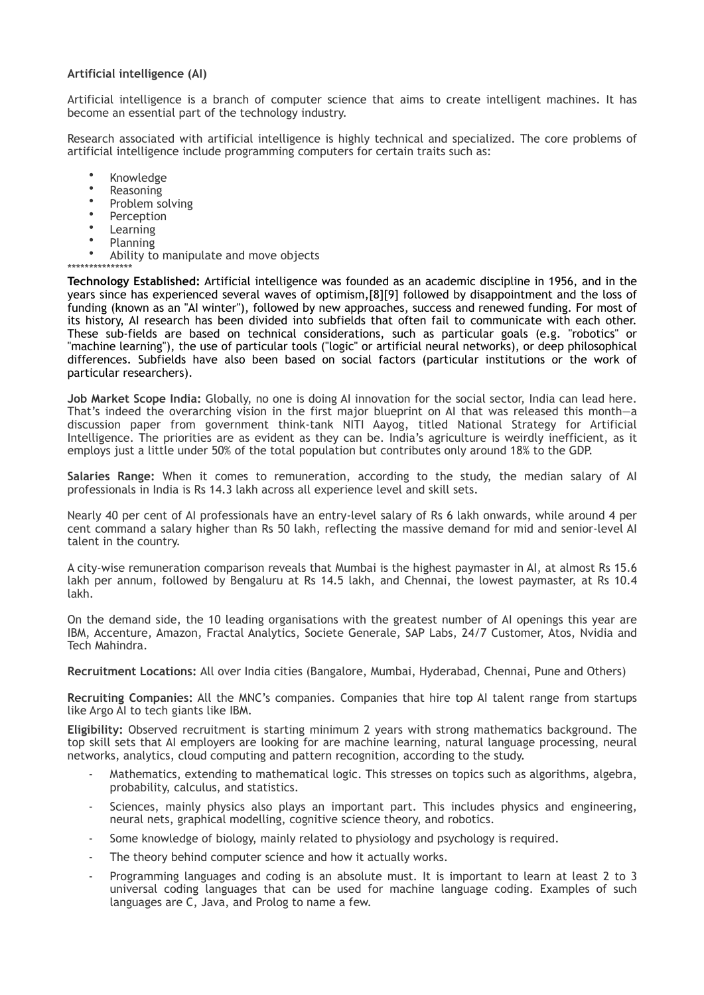## **Artificial intelligence (AI)**

Artificial intelligence is a branch of computer science that aims to create intelligent machines. It has become an essential part of the technology industry.

Research associated with artificial intelligence is highly technical and specialized. The core problems of artificial intelligence include programming computers for certain traits such as:

- Knowledge
- Reasoning
- Problem solving
- **Perception**
- Learning
- Planning<br>• Ability to
- Ability to manipulate and move objects

\*\*\*\*\*\*\*\*\*\*\*\*\*\*\* **Technology Established:** Artificial intelligence was founded as an academic discipline in 1956, and in the years since has experienced several waves of optimism,[8][9] followed by disappointment and the loss of funding (known as an "AI winter"), followed by new approaches, success and renewed funding. For most of its history, AI research has been divided into subfields that often fail to communicate with each other. These sub-fields are based on technical considerations, such as particular goals (e.g. "robotics" or "machine learning"), the use of particular tools ("logic" or artificial neural networks), or deep philosophical differences. Subfields have also been based on social factors (particular institutions or the work of particular researchers).

**Job Market Scope India:** Globally, no one is doing AI innovation for the social sector, India can lead here. That's indeed the overarching vision in the first major blueprint on AI that was released this month—a discussion paper from government think-tank NITI Aayog, titled National Strategy for Artificial Intelligence. The priorities are as evident as they can be. India's agriculture is weirdly inefficient, as it employs just a little under 50% of the total population but contributes only around 18% to the GDP.

**Salaries Range:** When it comes to remuneration, according to the study, the median salary of AI professionals in India is Rs 14.3 lakh across all experience level and skill sets.

Nearly 40 per cent of AI professionals have an entry-level salary of Rs 6 lakh onwards, while around 4 per cent command a salary higher than Rs 50 lakh, reflecting the massive demand for mid and senior-level AI talent in the country.

A city-wise remuneration comparison reveals that Mumbai is the highest paymaster in AI, at almost Rs 15.6 lakh per annum, followed by Bengaluru at Rs 14.5 lakh, and Chennai, the lowest paymaster, at Rs 10.4 lakh.

On the demand side, the 10 leading organisations with the greatest number of AI openings this year are IBM, Accenture, Amazon, Fractal Analytics, Societe Generale, SAP Labs, 24/7 Customer, Atos, Nvidia and Tech Mahindra.

**Recruitment Locations:** All over India cities (Bangalore, Mumbai, Hyderabad, Chennai, Pune and Others)

**Recruiting Companies:** All the MNC's companies. Companies that hire top AI talent range from startups like Argo AI to tech giants like IBM.

**Eligibility:** Observed recruitment is starting minimum 2 years with strong mathematics background. The top skill sets that AI employers are looking for are machine learning, natural language processing, neural networks, analytics, cloud computing and pattern recognition, according to the study.

- Mathematics, extending to mathematical logic. This stresses on topics such as algorithms, algebra, probability, calculus, and statistics.
- Sciences, mainly physics also plays an important part. This includes physics and engineering, neural nets, graphical modelling, cognitive science theory, and robotics.
- Some knowledge of biology, mainly related to physiology and psychology is required.
- The theory behind computer science and how it actually works.
- Programming languages and coding is an absolute must. It is important to learn at least 2 to 3 universal coding languages that can be used for machine language coding. Examples of such languages are C, Java, and Prolog to name a few.